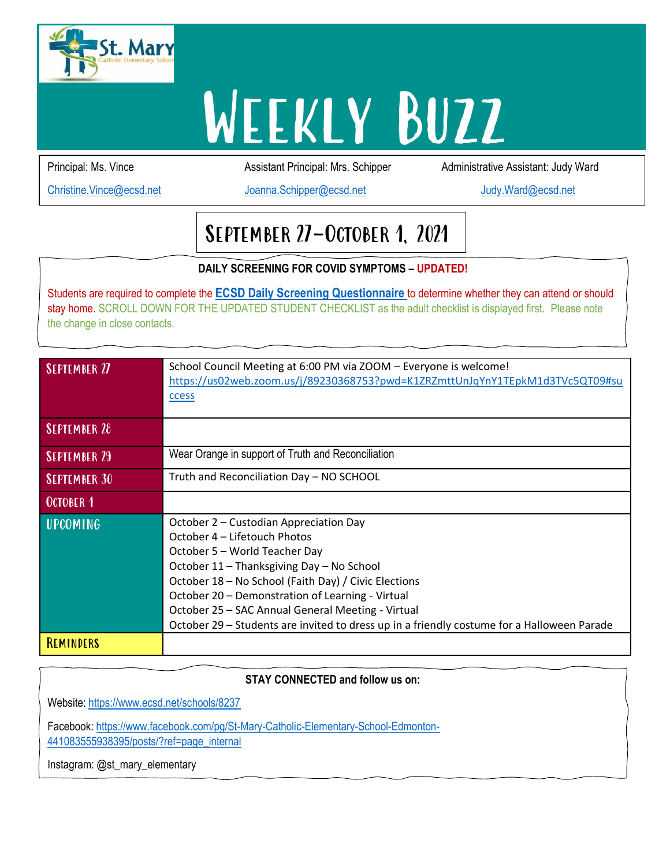

# WEEKLY BUZZ

Principal: Ms. Vince **Assistant Principal: Mrs. Schipper** Administrative Assistant: Judy Ward

[Christine.Vince@ecsd.net](mailto:Christine.Vince@ecsd.net) [Joanna.Schipper@ecsd.net](mailto:Joanna.Schipper@ecsd.net) [Judy.Ward@ecsd.net](mailto:Judy.Ward@ecsd.net)

# September 27-October 1, 2021

**DAILY SCREENING FOR COVID SYMPTOMS – UPDATED!**

Students are required to complete the **[ECSD Daily Screening Questionnaire](https://open.alberta.ca/dataset/56c020ed-1782-4c6c-bfdd-5af36754471f/resource/58957831-a4ab-45ff-9a8e-3c6af7c1622e/download/covid-19-information-alberta-health-daily-checklist-2021-08.pdf)** to determine whether they can attend or should stay home. SCROLL DOWN FOR THE UPDATED STUDENT CHECKLIST as the adult checklist is displayed first. Please note the change in close contacts.

| <b>SEPTEMBER 27</b> | School Council Meeting at 6:00 PM via ZOOM - Everyone is welcome!<br>https://us02web.zoom.us/j/89230368753?pwd=K1ZRZmttUnJqYnY1TEpkM1d3TVc5QT09#su<br>ccess                                                                                                                                                                                                                                                         |
|---------------------|---------------------------------------------------------------------------------------------------------------------------------------------------------------------------------------------------------------------------------------------------------------------------------------------------------------------------------------------------------------------------------------------------------------------|
| <b>SEPTEMBER 28</b> |                                                                                                                                                                                                                                                                                                                                                                                                                     |
| <b>SEPTEMBER 29</b> | Wear Orange in support of Truth and Reconciliation                                                                                                                                                                                                                                                                                                                                                                  |
| <b>SEPTEMBER 30</b> | Truth and Reconciliation Day - NO SCHOOL                                                                                                                                                                                                                                                                                                                                                                            |
| <b>OCTOBER 1</b>    |                                                                                                                                                                                                                                                                                                                                                                                                                     |
| UPCOMING            | October 2 – Custodian Appreciation Day<br>October 4 – Lifetouch Photos<br>October 5 - World Teacher Day<br>October 11 - Thanksgiving Day - No School<br>October 18 – No School (Faith Day) / Civic Elections<br>October 20 - Demonstration of Learning - Virtual<br>October 25 - SAC Annual General Meeting - Virtual<br>October 29 – Students are invited to dress up in a friendly costume for a Halloween Parade |
| REMINDERS           |                                                                                                                                                                                                                                                                                                                                                                                                                     |

**DAILY SCRIPTING FOR COVID SOLUTION STAY CONNECTED and follow us on:**

Website: <https://www.ecsd.net/schools/8237>

Facebook: [https://www.facebook.com/pg/St-Mary-Catholic-Elementary-School-Edmonton-](https://www.facebook.com/pg/St-Mary-Catholic-Elementary-School-Edmonton-441083555938395/posts/?ref=page_internal)[441083555938395/posts/?ref=page\\_internal](https://www.facebook.com/pg/St-Mary-Catholic-Elementary-School-Edmonton-441083555938395/posts/?ref=page_internal)

Instagram: @st\_mary\_elementary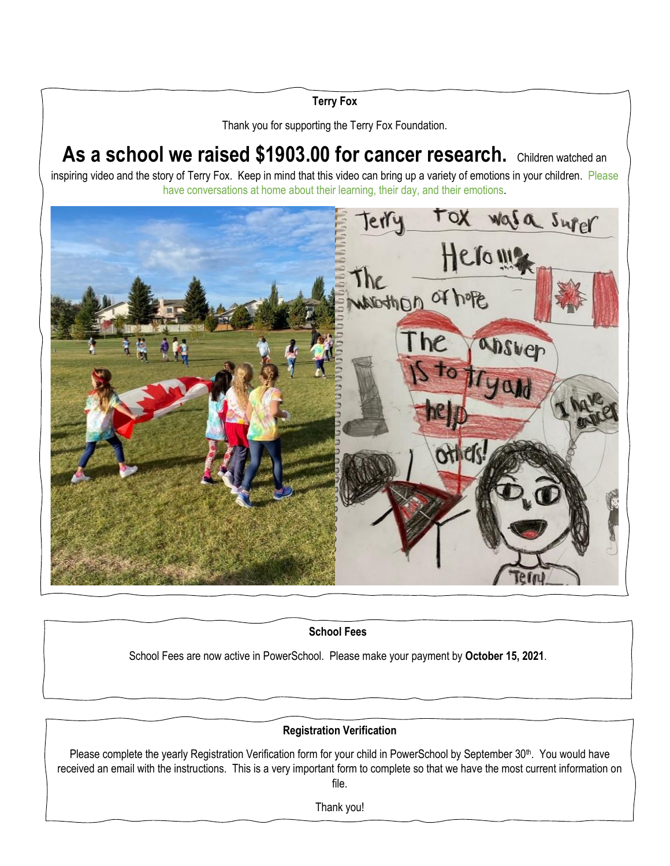# **Terry Fox**

Thank you for supporting the Terry Fox Foundation.

As a school we raised \$1903.00 for cancer research. Children watched an inspiring video and the story of Terry Fox. Keep in mind that this video can bring up a variety of emotions in your children. Please have conversations at home about their learning, their day, and their emotions.



**School Fees**

School Fees are now active in PowerSchool. Please make your payment by **October 15, 2021**.

# **Registration Verification**

Please complete the yearly Registration Verification form for your child in PowerSchool by September 30<sup>th</sup>. You would have received an email with the instructions. This is a very important form to complete so that we have the most current information on file.

Thank you!